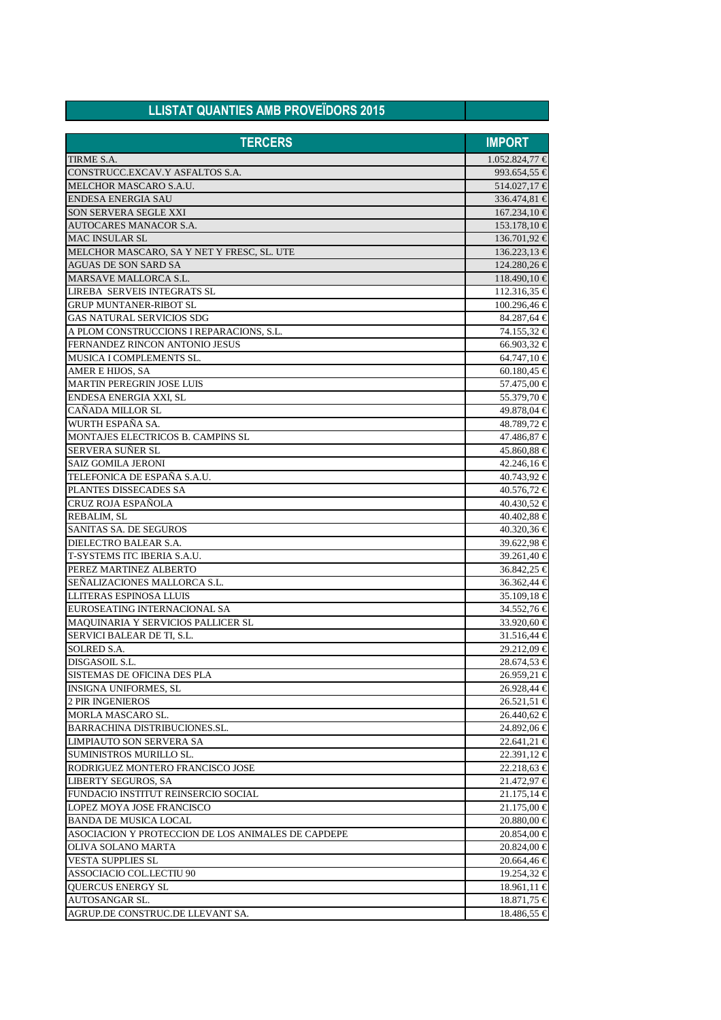| <b>LLISTAT QUANTIES AMB PROVEÏDORS 2015</b>             |                            |
|---------------------------------------------------------|----------------------------|
| <b>TERCERS</b>                                          | <b>IMPORT</b>              |
| TIRME S.A.                                              | $1.052.824,77 \in$         |
| CONSTRUCC.EXCAV.Y ASFALTOS S.A.                         | 993.654,55 €               |
| MELCHOR MASCARO S.A.U.                                  | 514.027,17 €               |
| <b>ENDESA ENERGIA SAU</b>                               | 336.474,81 €               |
| <b>SON SERVERA SEGLE XXI</b>                            | $167.234,10$ €             |
| <b>AUTOCARES MANACOR S.A.</b>                           | $153.178,10 \in$           |
| <b>MAC INSULAR SL</b>                                   | $136.701,92 \in$           |
| MELCHOR MASCARO, SA Y NET Y FRESC, SL. UTE              | $136.223,13 \in$           |
| <b>AGUAS DE SON SARD SA</b>                             | 124.280,26 €               |
| <b>MARSAVE MALLORCA S.L.</b>                            | $118.490,10 \in$           |
| LIREBA SERVEIS INTEGRATS SL                             | $112.316,35 \in$           |
| <b>GRUP MUNTANER-RIBOT SL</b>                           | $100.296,46 \in$           |
| <b>GAS NATURAL SERVICIOS SDG</b>                        | 84.287,64 €                |
| A PLOM CONSTRUCCIONS I REPARACIONS, S.L.                | 74.155,32 €                |
| FERNANDEZ RINCON ANTONIO JESUS                          | $66.903,32 \in$            |
| MUSICA I COMPLEMENTS SL.                                | $64.747,10 \in$            |
| AMER E HIJOS, SA                                        | 60.180,45 <del>€</del>     |
| <b>MARTIN PEREGRIN JOSE LUIS</b>                        | 57.475,00 €                |
| ENDESA ENERGIA XXI, SL                                  | 55.379,70 €                |
| CAÑADA MILLOR SL                                        | 49.878,04 €                |
| WURTH ESPAÑA SA.                                        | 48.789,72 €                |
| MONTAJES ELECTRICOS B. CAMPINS SL                       | 47.486,87 €                |
| <b>SERVERA SUNER SL</b>                                 | 45.860,88 €                |
| <b>SAIZ GOMILA JERONI</b>                               | $42.246,16 \in$            |
| TELEFONICA DE ESPAÑA S.A.U.                             | 40.743,92 €                |
| PLANTES DISSECADES SA                                   | 40.576,72 €                |
| <b>CRUZ ROJA ESPAÑOLA</b>                               | 40.430,52 €                |
| <b>REBALIM, SL</b>                                      | 40.402,88 €                |
| SANITAS SA. DE SEGUROS                                  | 40.320,36 €                |
| DIELECTRO BALEAR S.A.                                   | 39.622,98 €                |
| T-SYSTEMS ITC IBERIA S.A.U.                             | 39.261,40 €                |
| PEREZ MARTINEZ ALBERTO                                  | 36.842,25 €                |
| SEÑALIZACIONES MALLORCA S.L.                            | 36.362,44 €                |
| LLITERAS ESPINOSA LLUIS                                 | $35.109,18 \in$            |
| EUROSEATING INTERNACIONAL SA                            | 34.552,76 €                |
| MAQUINARIA Y SERVICIOS PALLICER SL                      | 33.920,60 €                |
| SERVICI BALEAR DE TI, S.L.                              | 31.516,44 €                |
| <b>SOLRED S.A.</b><br>DISGASOIL S.L.                    | 29.212,09 €                |
|                                                         | 28.674,53 €                |
| SISTEMAS DE OFICINA DES PLA                             | $26.959,21 \in$            |
| <b>INSIGNA UNIFORMES, SL</b><br><b>2 PIR INGENIEROS</b> | 26.928,44 €                |
| MORLA MASCARO SL.                                       | $26.521,51 \in$            |
| <b>BARRACHINA DISTRIBUCIONES.SL.</b>                    | 26.440,62 €<br>24.892,06 € |
| LIMPIAUTO SON SERVERA SA                                | $22.641,21 \in$            |
| SUMINISTROS MURILLO SL.                                 | $22.391,12 \in$            |
| RODRIGUEZ MONTERO FRANCISCO JOSE                        | 22.218,63 €                |
| LIBERTY SEGUROS, SA                                     | 21.472,97 €                |
| FUNDACIO INSTITUT REINSERCIO SOCIAL                     | $21.175,14 \in$            |
| LOPEZ MOYA JOSE FRANCISCO                               | $21.175,00 \in$            |
| <b>BANDA DE MUSICA LOCAL</b>                            | 20.880,00 €                |
| ASOCIACION Y PROTECCION DE LOS ANIMALES DE CAPDEPE      | $20.854,00 \in$            |
| OLIVA SOLANO MARTA                                      | $20.824,00$ €              |
| <b>VESTA SUPPLIES SL</b>                                | 20.664,46 €                |
| ASSOCIACIO COL.LECTIU 90                                | 19.254,32 €                |
| QUERCUS ENERGY SL                                       | $18.961,11 \in$            |
| AUTOSANGAR SL.                                          | 18.871,75 €                |
| AGRUP.DE CONSTRUC.DE LLEVANT SA.                        | 18.486,55 €                |
|                                                         |                            |

٦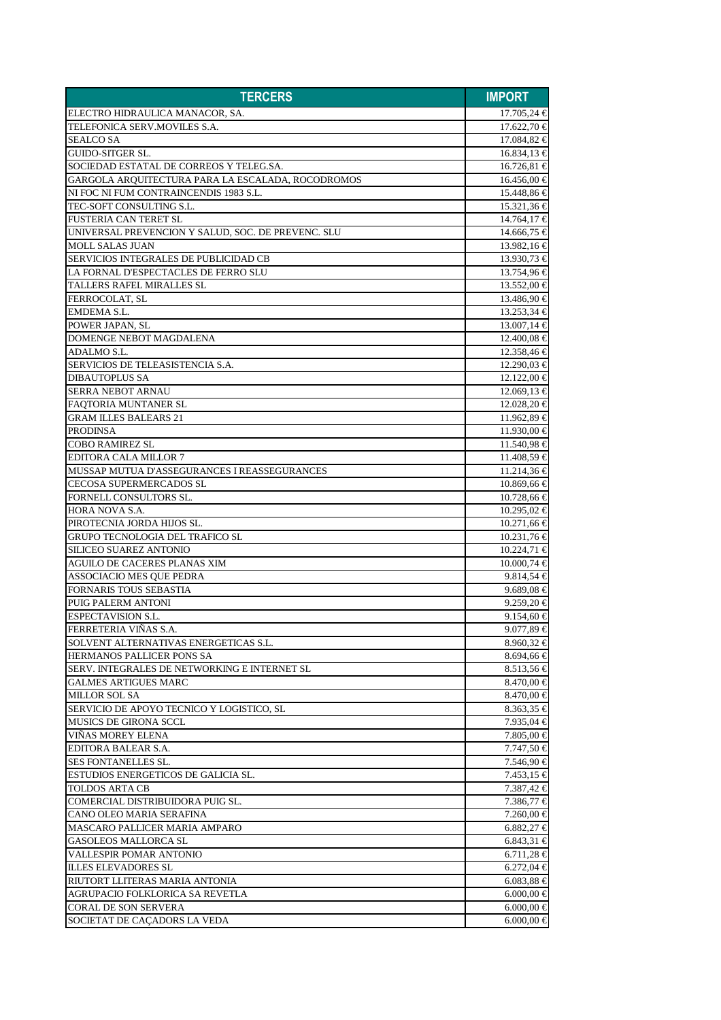| <b>TERCERS</b>                                     | <b>IMPORT</b>   |
|----------------------------------------------------|-----------------|
| ELECTRO HIDRAULICA MANACOR, SA.                    | $17.705,24 \in$ |
| TELEFONICA SERV.MOVILES S.A.                       | $17.622,70$ €   |
| <b>SEALCO SA</b>                                   | 17.084,82 €     |
| <b>GUIDO-SITGER SL.</b>                            | $16.834,13 \in$ |
| SOCIEDAD ESTATAL DE CORREOS Y TELEG.SA.            | $16.726,81 \in$ |
| GARGOLA ARQUITECTURA PARA LA ESCALADA, ROCODROMOS  | $16.456,00 \in$ |
| NI FOC NI FUM CONTRAINCENDIS 1983 S.L.             | 15.448,86 €     |
| TEC-SOFT CONSULTING S.L.                           | 15.321,36 €     |
| <b>FUSTERIA CAN TERET SL</b>                       | $14.764,17 \in$ |
| UNIVERSAL PREVENCION Y SALUD, SOC. DE PREVENC. SLU | 14.666,75 €     |
| <b>MOLL SALAS JUAN</b>                             | $13.982,16 \in$ |
| SERVICIOS INTEGRALES DE PUBLICIDAD CB              | 13.930.73 €     |
| LA FORNAL D'ESPECTACLES DE FERRO SLU               | 13.754,96 €     |
| TALLERS RAFEL MIRALLES SL                          | $13.552,00$ €   |
| FERROCOLAT, SL                                     | $13.486,90 \in$ |
| EMDEMA S.L.                                        | $13.253,34 \in$ |
| POWER JAPAN, SL                                    | $13.007,14 \in$ |
| DOMENGE NEBOT MAGDALENA                            | $12.400,08 \in$ |
| ADALMO S.L.                                        | 12.358,46 €     |
| SERVICIOS DE TELEASISTENCIA S.A.                   | $12.290,03 \in$ |
| <b>DIBAUTOPLUS SA</b>                              | $12.122,00$ €   |
| <b>SERRA NEBOT ARNAU</b>                           | $12.069,13 \in$ |
| FAOTORIA MUNTANER SL                               | $12.028,20$ €   |
| <b>GRAM ILLES BALEARS 21</b>                       | 11.962,89 €     |
| <b>PRODINSA</b>                                    | $11.930,00 \in$ |
| <b>COBO RAMIREZ SL</b>                             | 11.540,98 €     |
| <b>EDITORA CALA MILLOR 7</b>                       | $11.408,59 \in$ |
| MUSSAP MUTUA D'ASSEGURANCES I REASSEGURANCES       | $11.214,36 \in$ |
| <b>CECOSA SUPERMERCADOS SL</b>                     | $10.869,66 \in$ |
| FORNELL CONSULTORS SL.                             | $10.728,66 \in$ |
| <b>HORA NOVA S.A.</b>                              | $10.295,02 \in$ |
| PIROTECNIA JORDA HIJOS SL.                         | $10.271,66 \in$ |
| <b>GRUPO TECNOLOGIA DEL TRAFICO SL</b>             | $10.231,76 \in$ |
| <b>SILICEO SUAREZ ANTONIO</b>                      | $10.224,71 \in$ |
| <b>AGUILO DE CACERES PLANAS XIM</b>                | $10.000,74 \in$ |
| ASSOCIACIO MES QUE PEDRA                           | $9.814,54 \in$  |
| <b>FORNARIS TOUS SEBASTIA</b>                      | $9.689,08 \in$  |
| PUIG PALERM ANTONI                                 | 9.259.20 $\in$  |
| <b>ESPECTAVISION S.L.</b>                          | $9.154,60 \in$  |
| FERRETERIA VIÑAS S.A.                              | 9.077,89 €      |
| SOLVENT ALTERNATIVAS ENERGETICAS S.L.              | 8.960,32 €      |
| HERMANOS PALLICER PONS SA                          | 8.694,66 €      |
| SERV. INTEGRALES DE NETWORKING E INTERNET SL       | $8.513,56 \in$  |
| <b>GALMES ARTIGUES MARC</b>                        | $8.470,00 \in$  |
| MILLOR SOL SA                                      | $8.470,00 \in$  |
| SERVICIO DE APOYO TECNICO Y LOGISTICO, SL          | $8.363,35 \in$  |
| MUSICS DE GIRONA SCCL                              | 7.935,04 €      |
| <b>VINAS MOREY ELENA</b>                           | 7.805,00 €      |
| EDITORA BALEAR S.A.                                | 7.747,50 €      |
| <b>SES FONTANELLES SL.</b>                         | 7.546,90 €      |
| ESTUDIOS ENERGETICOS DE GALICIA SL.                | $7.453,15 \in$  |
| TOLDOS ARTA CB                                     | 7.387,42 €      |
| COMERCIAL DISTRIBUIDORA PUIG SL.                   | 7.386,77 €      |
| CANO OLEO MARIA SERAFINA                           | 7.260,00 €      |
| MASCARO PALLICER MARIA AMPARO                      | 6.882,27 €      |
| <b>GASOLEOS MALLORCA SL</b>                        | $6.843,31 \in$  |
| VALLESPIR POMAR ANTONIO                            | 6.711,28 €      |
| <b>ILLES ELEVADORES SL</b>                         | $6.272,04 \in$  |
| RIUTORT LLITERAS MARIA ANTONIA                     | 6.083,88 €      |
| AGRUPACIO FOLKLORICA SA REVETLA                    | 6.000,00 €      |
| <b>CORAL DE SON SERVERA</b>                        | $6.000,00 \in$  |
| SOCIETAT DE CAÇADORS LA VEDA                       | $6.000,00 \in$  |
|                                                    |                 |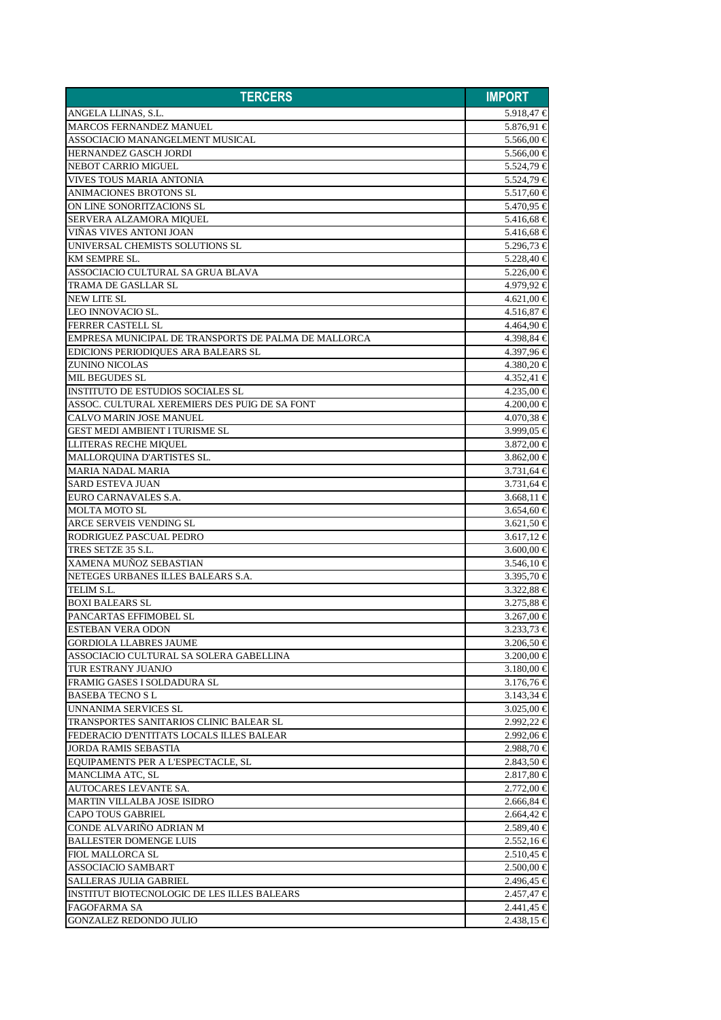| <b>TERCERS</b>                                       | <b>IMPORT</b>                |
|------------------------------------------------------|------------------------------|
| ANGELA LLINAS, S.L.                                  | 5.918,47 $∈$                 |
| <b>MARCOS FERNANDEZ MANUEL</b>                       | 5.876,91 €                   |
| ASSOCIACIO MANANGELMENT MUSICAL                      | 5.566,00 €                   |
| HERNANDEZ GASCH JORDI                                | 5.566,00 €                   |
| <b>NEBOT CARRIO MIGUEL</b>                           | 5.524,79 €                   |
| <b>VIVES TOUS MARIA ANTONIA</b>                      | 5.524,79 €                   |
| <b>ANIMACIONES BROTONS SL</b>                        | 5.517,60 €                   |
| ON LINE SONORITZACIONS SL                            | 5.470,95 €                   |
| SERVERA ALZAMORA MIQUEL                              | 5.416.68 €                   |
| VINAS VIVES ANTONI JOAN                              | 5.416,68 €                   |
| UNIVERSAL CHEMISTS SOLUTIONS SL                      | 5.296,73 €                   |
| KM SEMPRE SL.                                        | 5.228,40 €                   |
| ASSOCIACIO CULTURAL SA GRUA BLAVA                    | 5.226,00 €                   |
| <b>TRAMA DE GASLLAR SL</b>                           | 4.979,92 €                   |
| <b>NEW LITE SL</b>                                   | $4.621,00 \in$               |
| LEO INNOVACIO SL.                                    | $4.516,87 \in$               |
| <b>FERRER CASTELL SL</b>                             | 4.464,90 €                   |
| EMPRESA MUNICIPAL DE TRANSPORTS DE PALMA DE MALLORCA | 4.398,84 €                   |
| EDICIONS PERIODIQUES ARA BALEARS SL                  | 4.397,96 €                   |
| <b>ZUNINO NICOLAS</b>                                | $4.380,20 \in$               |
| <b>MIL BEGUDES SL</b>                                | $4.352,41 \in$               |
| INSTITUTO DE ESTUDIOS SOCIALES SL                    | $4.235,00$ €                 |
| ASSOC. CULTURAL XEREMIERS DES PUIG DE SA FONT        | $4.200,00 \in$               |
| <b>CALVO MARIN JOSE MANUEL</b>                       |                              |
| <b>GEST MEDI AMBIENT I TURISME SL</b>                | $4.070,38 \in$<br>3.999,05 € |
|                                                      |                              |
| LLITERAS RECHE MIQUEL                                | 3.872,00 €                   |
| MALLORQUINA D'ARTISTES SL.                           | $3.862,00 \in$               |
| <b>MARIA NADAL MARIA</b><br><b>SARD ESTEVA JUAN</b>  | $3.731,64 \in$               |
| EURO CARNAVALES S.A.                                 | $3.731,64 \in$               |
| <b>MOLTA MOTO SL</b>                                 | $3.668,11 \in$               |
|                                                      | $3.654,60 \in$               |
| ARCE SERVEIS VENDING SL<br>RODRIGUEZ PASCUAL PEDRO   | 3.621,50 €                   |
| TRES SETZE 35 S.L.                                   | $3.617,12 \in$               |
|                                                      | 3.600,00 €                   |
| <b>XAMENA MUÑOZ SEBASTIAN</b>                        | $3.546,10 \in$               |
| NETEGES URBANES ILLES BALEARS S.A.                   | 3.395,70 €                   |
| TELIM S.L.                                           | 3.322,88 €                   |
| <b>BOXI BALEARS SL</b>                               | $3.275,88 \in$               |
| PANCARTAS EFFIMOBEL SL                               | $3.267,00 \in$               |
| ESTEBAN VERA ODON                                    | 3.233,73 €                   |
| <b>GORDIOLA LLABRES JAUME</b>                        | $3.206,50 \in$               |
| ASSOCIACIO CULTURAL SA SOLERA GABELLINA              | 3.200,00 €                   |
| TUR ESTRANY JUANJO                                   | 3.180,00 €                   |
| FRAMIG GASES I SOLDADURA SL                          | $3.176,76 \in$               |
| <b>BASEBA TECNOSL</b>                                | $3.143,34 \in$               |
| <b>UNNANIMA SERVICES SL</b>                          | 3.025,00 €                   |
| TRANSPORTES SANITARIOS CLINIC BALEAR SL              | 2.992,22 €                   |
| FEDERACIO D'ENTITATS LOCALS ILLES BALEAR             | 2.992,06 €                   |
| <b>JORDA RAMIS SEBASTIA</b>                          | $2.988,70 \in$               |
| EQUIPAMENTS PER A L'ESPECTACLE, SL                   | $2.843,50$ €                 |
| MANCLIMA ATC, SL                                     | $2.817,80 \in$               |
| AUTOCARES LEVANTE SA.                                | $2.772,00$ €                 |
| MARTIN VILLALBA JOSE ISIDRO                          | $2.666,84 \in$               |
| <b>CAPO TOUS GABRIEL</b>                             | $2.664,42 \in$               |
| CONDE ALVARINO ADRIAN M                              | $2.589,40 \in$               |
| <b>BALLESTER DOMENGE LUIS</b>                        | $2.552,16 \in$               |
| <b>FIOL MALLORCA SL</b>                              | $2.510,45 \in$               |
| <b>ASSOCIACIO SAMBART</b>                            | $2.500,00 \in$               |
| <b>SALLERAS JULIA GABRIEL</b>                        | $2.496,45 \in$               |
| INSTITUT BIOTECNOLOGIC DE LES ILLES BALEARS          | $2.457,47 \in$               |
| <b>FAGOFARMA SA</b>                                  | $2.441,45 \in$               |
| <b>GONZALEZ REDONDO JULIO</b>                        | $2.438,15 \in$               |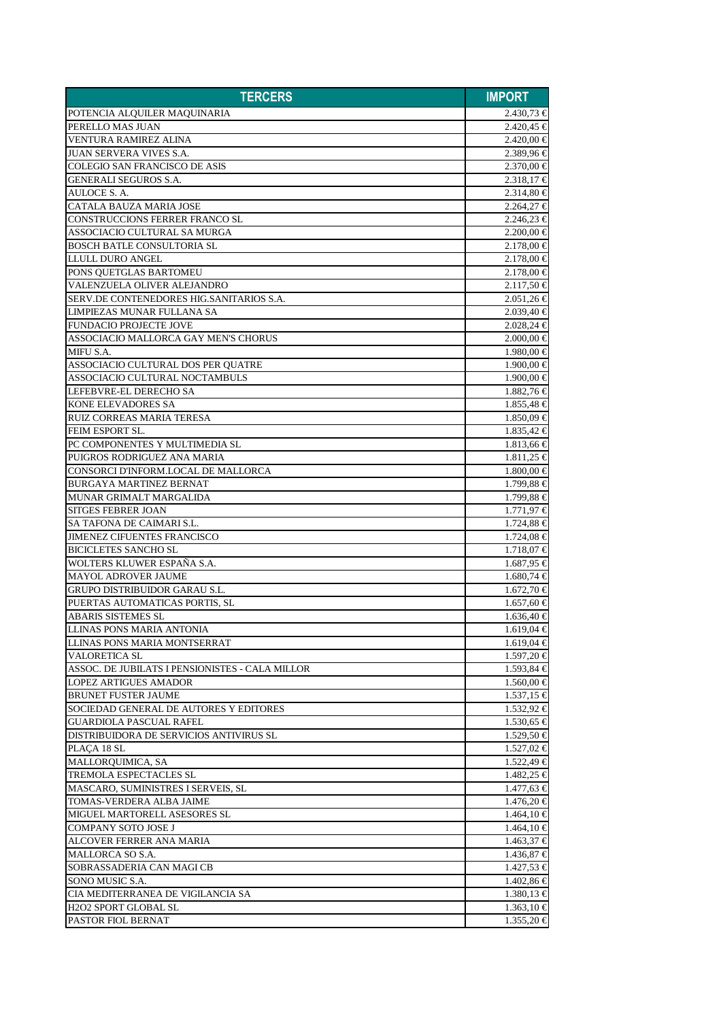| <b>TERCERS</b>                                  | <b>IMPORT</b>                    |
|-------------------------------------------------|----------------------------------|
| POTENCIA ALQUILER MAQUINARIA                    | $2.430,73 \in$                   |
| PERELLO MAS JUAN                                | $2.420,45 \in$                   |
| VENTURA RAMIREZ ALINA                           | $2.420,00 \in$                   |
| <b>JUAN SERVERA VIVES S.A.</b>                  | $2.389,96 \in$                   |
| <b>COLEGIO SAN FRANCISCO DE ASIS</b>            | $2.370,00 \in$                   |
| <b>GENERALI SEGUROS S.A.</b>                    | $2.318,17 \in$                   |
| AULOCE S. A.                                    | $2.314,80 \in$                   |
| CATALA BAUZA MARIA JOSE                         | $2.264.27 \in$                   |
| CONSTRUCCIONS FERRER FRANCO SL                  | $2.246,23 \in$                   |
| ASSOCIACIO CULTURAL SA MURGA                    | $2.200,00 \in$                   |
| <b>BOSCH BATLE CONSULTORIA SL</b>               | $2.178,00$ €                     |
| LLULL DURO ANGEL                                | $2.178,00 \in$                   |
| PONS QUETGLAS BARTOMEU                          | $2.178,00 \in$                   |
| VALENZUELA OLIVER ALEJANDRO                     | $2.117,50 \in$                   |
| SERV.DE CONTENEDORES HIG.SANITARIOS S.A.        | $2.051,26 \in$                   |
| LIMPIEZAS MUNAR FULLANA SA                      | $2.039,40 \in$                   |
| <b>FUNDACIO PROJECTE JOVE</b>                   | $2.028,24 \in$                   |
| ASSOCIACIO MALLORCA GAY MEN'S CHORUS            |                                  |
| MIFU S.A.                                       | $2.000,00 \in$<br>$1.980.00 \in$ |
|                                                 |                                  |
| ASSOCIACIO CULTURAL DOS PER QUATRE              | $1.900,00 \in$                   |
| ASSOCIACIO CULTURAL NOCTAMBULS                  | $1.900,00 \in$                   |
| LEFEBVRE-EL DERECHO SA                          | $1.882,76 \in$                   |
| KONE ELEVADORES SA                              | $1.855,48 \in$                   |
| RUIZ CORREAS MARIA TERESA                       | $1.850,09 \in$                   |
| FEIM ESPORT SL.                                 | $1.835,42 \in$                   |
| PC COMPONENTES Y MULTIMEDIA SL                  | $1.813,66 \in$                   |
| PUIGROS RODRIGUEZ ANA MARIA                     | $1.811,25 \in$                   |
| CONSORCI D'INFORM.LOCAL DE MALLORCA             | $1.800,00 \in$                   |
| <b>BURGAYA MARTINEZ BERNAT</b>                  | $1.799,88 \in$                   |
| MUNAR GRIMALT MARGALIDA                         | $1.799.88 \in$                   |
| <b>SITGES FEBRER JOAN</b>                       | $1.771,97 \in$                   |
| SA TAFONA DE CAIMARI S.L.                       | $1.724,88 \in$                   |
| <b>JIMENEZ CIFUENTES FRANCISCO</b>              | $1.724,08 \in$                   |
| <b>BICICLETES SANCHO SL</b>                     | $1.718,07 \in$                   |
| WOLTERS KLUWER ESPAÑA S.A.                      | $1.687,95 \in$                   |
| <b>MAYOL ADROVER JAUME</b>                      | $1.680,74 \in$                   |
| <b>GRUPO DISTRIBUIDOR GARAU S.L.</b>            | $1.672,70 \in$                   |
| PUERTAS AUTOMATICAS PORTIS, SL                  | $1.657,60 \in$                   |
| ABARIS SISTEMES SL                              | $1.636,40 \in$                   |
| <b>LLINAS PONS MARIA ANTONIA</b>                | $1.619,04 \in$                   |
| <b>LLINAS PONS MARIA MONTSERRAT</b>             | $1.619,04 \in$                   |
| VALORETICA SL                                   | $1.597,20 \in$                   |
| ASSOC. DE JUBILATS I PENSIONISTES - CALA MILLOR | $1.593,84 \in$                   |
| <b>LOPEZ ARTIGUES AMADOR</b>                    | $1.560,00 \in$                   |
| <b>BRUNET FUSTER JAUME</b>                      | $1.537,15 \in$                   |
| SOCIEDAD GENERAL DE AUTORES Y EDITORES          | $1.532,92 \in$                   |
| <b>GUARDIOLA PASCUAL RAFEL</b>                  | $1.530,65 \in$                   |
| DISTRIBUIDORA DE SERVICIOS ANTIVIRUS SL         | $1.529,50 \in$                   |
| PLAÇA 18 SL                                     | $1.527,02 \in$                   |
| MALLORQUIMICA, SA                               | $1.522,49 \in$                   |
| TREMOLA ESPECTACLES SL                          | $1.482,25 \in$                   |
| MASCARO, SUMINISTRES I SERVEIS, SL              | $1.477,63 \in$                   |
| TOMAS-VERDERA ALBA JAIME                        | $1.476,20 \in$                   |
| MIGUEL MARTORELL ASESORES SL                    | $1.464,10 \in$                   |
| COMPANY SOTO JOSE J                             | $1.464,10 \in$                   |
| ALCOVER FERRER ANA MARIA                        | $1.463,37 \in$                   |
| MALLORCA SO S.A.                                | $1.436,87 \in$                   |
| SOBRASSADERIA CAN MAGI CB                       | $1.427,53 \in$                   |
| SONO MUSIC S.A.                                 | $1.402,86 \in$                   |
| CIA MEDITERRANEA DE VIGILANCIA SA               | $1.380,13 \in$                   |
| <b>H2O2 SPORT GLOBAL SL</b>                     | $1.363,10 \in$                   |
| PASTOR FIOL BERNAT                              | $1.355,20 \in$                   |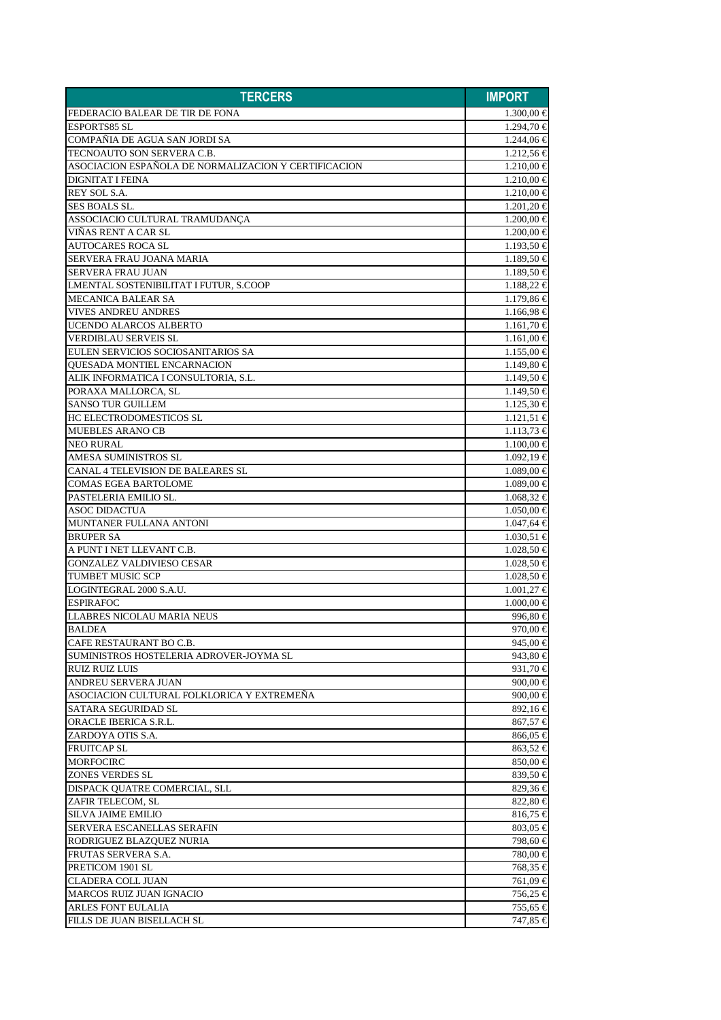| <b>TERCERS</b>                                                   | <b>IMPORT</b>                    |
|------------------------------------------------------------------|----------------------------------|
| FEDERACIO BALEAR DE TIR DE FONA                                  | $1.300,00 \in$                   |
| <b>ESPORTS85 SL</b>                                              | $1.294,70 \in$                   |
| COMPAÑIA DE AGUA SAN JORDI SA                                    | $1.244,06 \in$                   |
| TECNOAUTO SON SERVERA C.B.                                       | $1.212,56 \in$                   |
| ASOCIACION ESPAÑOLA DE NORMALIZACION Y CERTIFICACION             | $1.210,00 \in$                   |
| <b>DIGNITAT I FEINA</b>                                          | $1.210,00 \in$                   |
| REY SOL S.A.                                                     | $1.210,00 \in$                   |
| SES BOALS SL.                                                    | $1.201,20 \in$                   |
| ASSOCIACIO CULTURAL TRAMUDANCA                                   | $1.200,00 \in$                   |
| VIÑAS RENT A CAR SL                                              | $1.200,00 \in$                   |
| <b>AUTOCARES ROCA SL</b>                                         | $1.193,50 \in$                   |
| SERVERA FRAU JOANA MARIA                                         | $1.189,50 \in$                   |
| <b>SERVERA FRAU JUAN</b>                                         | $1.189,50 \in$                   |
| LMENTAL SOSTENIBILITAT I FUTUR, S.COOP                           | 1.188,22 €                       |
| <b>MECANICA BALEAR SA</b>                                        | $1.179,86 \in$                   |
| <b>VIVES ANDREU ANDRES</b>                                       | $1.166,98 \in$                   |
| UCENDO ALARCOS ALBERTO                                           | $1.161,70 \in$                   |
| <b>VERDIBLAU SERVEIS SL</b>                                      | $1.161,00 \in$                   |
| EULEN SERVICIOS SOCIOSANITARIOS SA                               | $1.155,00 \in$                   |
| <b>OUESADA MONTIEL ENCARNACION</b>                               | $1.149,80 \in$                   |
| ALIK INFORMATICA I CONSULTORIA, S.L.                             | $1.149,50 \in$                   |
| PORAXA MALLORCA, SL                                              | $1.149,50 \in$                   |
| <b>SANSO TUR GUILLEM</b>                                         | $1.125,30 \in$                   |
| HC ELECTRODOMESTICOS SL                                          | $1.121.51 \in$                   |
| <b>MUEBLES ARANO CB</b>                                          |                                  |
|                                                                  | $1.113,73 \in$                   |
| <b>NEO RURAL</b>                                                 | $1.100,00 \in$                   |
| AMESA SUMINISTROS SL<br><b>CANAL 4 TELEVISION DE BALEARES SL</b> | $1.092,19 \in$<br>$1.089,00 \in$ |
|                                                                  |                                  |
| <b>COMAS EGEA BARTOLOME</b><br>PASTELERIA EMILIO SL.             | $1.089,00 \in$                   |
|                                                                  | $1.068,32 \in$                   |
| <b>ASOC DIDACTUA</b><br>MUNTANER FULLANA ANTONI                  | $1.050,00 \in$                   |
| <b>BRUPER SA</b>                                                 | $1.047,64 \in$<br>$1.030,51 \in$ |
| A PUNT I NET LLEVANT C.B.                                        | $1.028,50 \in$                   |
| <b>GONZALEZ VALDIVIESO CESAR</b>                                 | $1.028,50 \in$                   |
| <b>TUMBET MUSIC SCP</b>                                          |                                  |
|                                                                  | $1.028,50 \in$                   |
| LOGINTEGRAL 2000 S.A.U.                                          | $1.001,27 \in$                   |
| <b>ESPIRAFOC</b><br><b>LLABRES NICOLAU MARIA NEUS</b>            | $1.000,00 \in$                   |
|                                                                  | 996,80 €                         |
| <b>BALDEA</b>                                                    | 970,00 €                         |
| CAFE RESTAURANT BO C.B.                                          | 945,00 €                         |
| SUMINISTROS HOSTELERIA ADROVER-JOYMA SL                          | 943,80 €                         |
| <b>RUIZ RUIZ LUIS</b>                                            | 931,70 €                         |
| ANDREU SERVERA JUAN                                              | $900,00 \in$                     |
| ASOCIACION CULTURAL FOLKLORICA Y EXTREMEÑA                       | 900,00 $\in$                     |
| SATARA SEGURIDAD SL                                              | 892,16€                          |
| <b>ORACLE IBERICA S.R.L.</b>                                     | 867,57 €                         |
| ZARDOYA OTIS S.A.                                                | 866,05 €                         |
| <b>FRUITCAP SL</b>                                               | 863,52 €                         |
| <b>MORFOCIRC</b>                                                 | $850,00 \in$                     |
| <b>ZONES VERDES SL</b>                                           | 839,50 €                         |
| DISPACK QUATRE COMERCIAL, SLL                                    | 829,36 €                         |
| ZAFIR TELECOM, SL                                                | $822,80$ €                       |
| <b>SILVA JAIME EMILIO</b>                                        | $816,75 \in$                     |
| SERVERA ESCANELLAS SERAFIN                                       | $803,05 \in$                     |
| RODRIGUEZ BLAZQUEZ NURIA                                         | 798,60 €                         |
| FRUTAS SERVERA S.A.                                              | 780,00 €                         |
| PRETICOM 1901 SL                                                 | 768,35 €                         |
| <b>CLADERA COLL JUAN</b>                                         | 761,09 €                         |
| <b>MARCOS RUIZ JUAN IGNACIO</b>                                  | 756,25 €                         |
| ARLES FONT EULALIA                                               | 755,65 €                         |
| FILLS DE JUAN BISELLACH SL                                       | 747,85 €                         |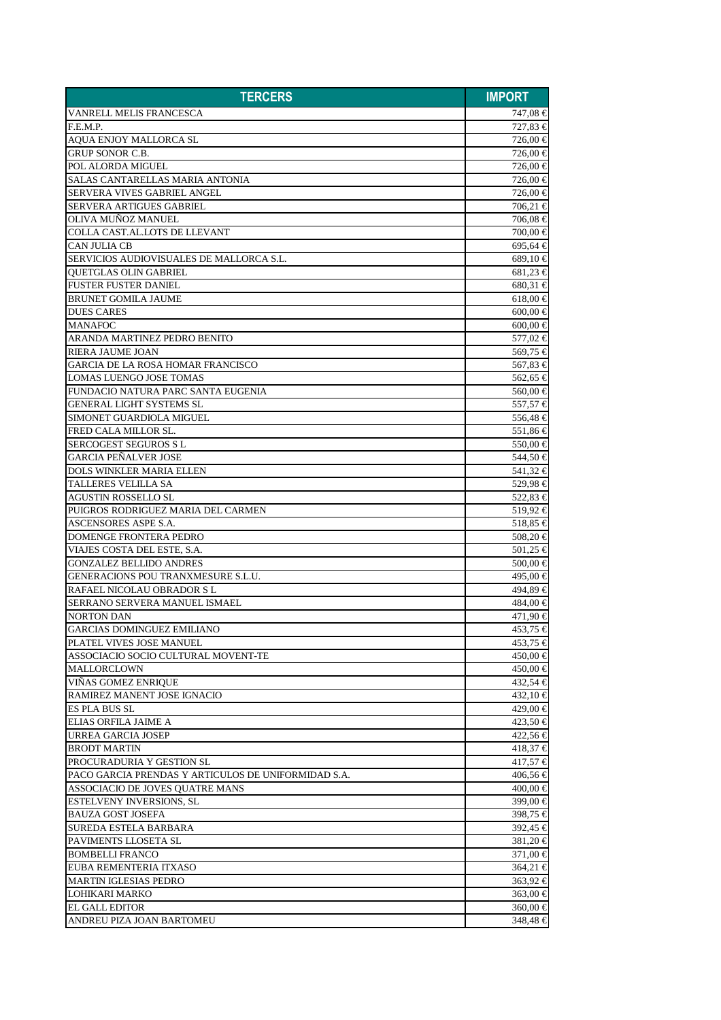| <b>TERCERS</b>                                      | <b>IMPORT</b>        |
|-----------------------------------------------------|----------------------|
| VANRELL MELIS FRANCESCA                             | 747,08 €             |
| F.E.M.P.                                            | 727.83 €             |
| <b>AQUA ENJOY MALLORCA SL</b>                       | 726,00 €             |
| <b>GRUP SONOR C.B.</b>                              | 726,00 €             |
| POL ALORDA MIGUEL                                   | 726,00 €             |
| SALAS CANTARELLAS MARIA ANTONIA                     | 726,00 €             |
| SERVERA VIVES GABRIEL ANGEL                         | 726,00 €             |
| <b>SERVERA ARTIGUES GABRIEL</b>                     | 706,21 €             |
| <b>OLIVA MUNOZ MANUEL</b>                           | 706,08 €             |
| COLLA CAST.AL.LOTS DE LLEVANT                       | 700.00 €             |
| <b>CAN JULIA CB</b>                                 | 695,64 €             |
| SERVICIOS AUDIOVISUALES DE MALLORCA S.L.            | 689,10 €             |
| QUETGLAS OLIN GABRIEL                               | $681,23 \in$         |
| <b>FUSTER FUSTER DANIEL</b>                         | $680,31 \in$         |
| <b>BRUNET GOMILA JAUME</b>                          | 618,00 €             |
| <b>DUES CARES</b>                                   | $600,00 \in$         |
| <b>MANAFOC</b>                                      | $600,00 \in$         |
| ARANDA MARTINEZ PEDRO BENITO                        | 577,02 €             |
| <b>RIERA JAUME JOAN</b>                             | 569,75 €             |
| <b>GARCIA DE LA ROSA HOMAR FRANCISCO</b>            | 567,83 €             |
| LOMAS LUENGO JOSE TOMAS                             | 562,65 €             |
| FUNDACIO NATURA PARC SANTA EUGENIA                  | 560,00 €             |
| <b>GENERAL LIGHT SYSTEMS SL</b>                     | 557,57 €             |
| SIMONET GUARDIOLA MIGUEL                            | 556,48 €             |
| FRED CALA MILLOR SL.                                | 551,86 €             |
| <b>SERCOGEST SEGUROS S L</b>                        | 550,00 €             |
| <b>GARCIA PEÑALVER JOSE</b>                         | 544,50 €             |
| <b>DOLS WINKLER MARIA ELLEN</b>                     | 541,32 €             |
| <b>TALLERES VELILLA SA</b>                          | 529,98 €             |
| <b>AGUSTIN ROSSELLO SL</b>                          | 522,83 €             |
| PUIGROS RODRIGUEZ MARIA DEL CARMEN                  | 519,92€              |
| ASCENSORES ASPE S.A.                                | 518,85 €             |
| <b>DOMENGE FRONTERA PEDRO</b>                       | 508,20 €             |
| VIAJES COSTA DEL ESTE, S.A.                         | 501,25 €             |
| <b>GONZALEZ BELLIDO ANDRES</b>                      | 500,00 €             |
| GENERACIONS POU TRANXMESURE S.L.U.                  | 495,00 €             |
| RAFAEL NICOLAU OBRADOR S L                          | 494,89 €             |
| SERRANO SERVERA MANUEL ISMAEL                       | 484.00 €             |
| <b>NORTON DAN</b>                                   | 471,90 €             |
| <b>GARCIAS DOMINGUEZ EMILIANO</b>                   | 453,75 €             |
| PLATEL VIVES JOSE MANUEL                            | 453,75 €             |
| ASSOCIACIO SOCIO CULTURAL MOVENT-TE                 | 450,00 €             |
| <b>MALLORCLOWN</b>                                  | 450,00 €             |
| <b>VINAS GOMEZ ENRIQUE</b>                          | 432.54 €             |
| RAMIREZ MANENT JOSE IGNACIO                         | $432,10$ €           |
| ES PLA BUS SL                                       | 429.00 €             |
| <b>ELIAS ORFILA JAIME A</b>                         | 423,50 €             |
| URREA GARCIA JOSEP                                  | 422,56 €             |
| <b>BRODT MARTIN</b>                                 | $418,37 \in$         |
| PROCURADURIA Y GESTION SL                           | $417,57 \in$         |
| PACO GARCIA PRENDAS Y ARTICULOS DE UNIFORMIDAD S.A. | 406,56 €             |
| ASSOCIACIO DE JOVES QUATRE MANS                     | 400,00 €             |
| <b>ESTELVENY INVERSIONS, SL</b>                     | 399,00 €             |
| <b>BAUZA GOST JOSEFA</b>                            | 398,75 €             |
| SUREDA ESTELA BARBARA                               | 392,45 €             |
| PAVIMENTS LLOSETA SL                                | $381,20 \in$         |
| <b>BOMBELLI FRANCO</b>                              |                      |
| EUBA REMENTERIA ITXASO                              | $371,00 \in$         |
| <b>MARTIN IGLESIAS PEDRO</b>                        | 364,21 €<br>363,92 € |
| LOHIKARI MARKO                                      | 363,00 €             |
| <b>EL GALL EDITOR</b>                               | 360,00 €             |
| ANDREU PIZA JOAN BARTOMEU                           | 348,48 €             |
|                                                     |                      |